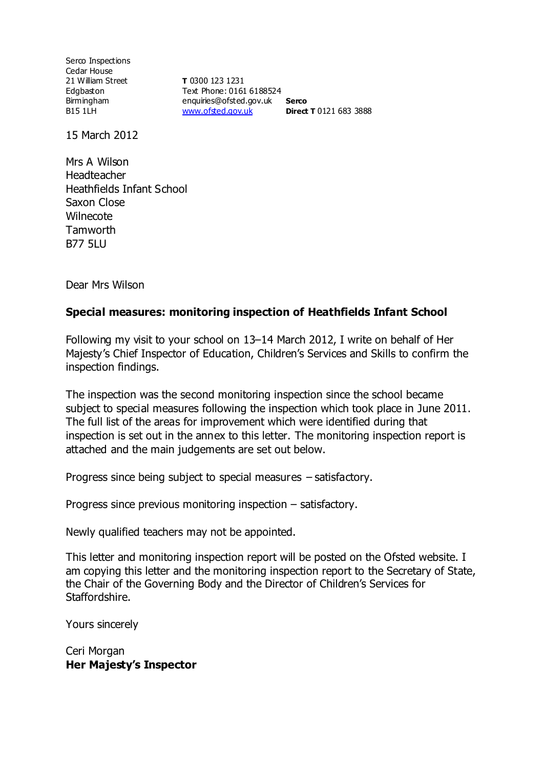Serco Inspections Cedar House 21 William Street Edgbaston Birmingham B15 1LH

**T** 0300 123 1231 Text Phone: 0161 6188524 enquiries@ofsted.gov.uk **Serco** [www.ofsted.gov.uk](http://www.ofsted.gov.uk/) **Direct T** 0121 683 3888

15 March 2012

Mrs A Wilson Headteacher Heathfields Infant School Saxon Close **Wilnecote Tamworth** B77 5LU

Dear Mrs Wilson

#### **Special measures: monitoring inspection of Heathfields Infant School**

Following my visit to your school on 13–14 March 2012, I write on behalf of Her Majesty's Chief Inspector of Education, Children's Services and Skills to confirm the inspection findings.

The inspection was the second monitoring inspection since the school became subject to special measures following the inspection which took place in June 2011. The full list of the areas for improvement which were identified during that inspection is set out in the annex to this letter. The monitoring inspection report is attached and the main judgements are set out below.

Progress since being subject to special measures – satisfactory.

Progress since previous monitoring inspection – satisfactory.

Newly qualified teachers may not be appointed.

This letter and monitoring inspection report will be posted on the Ofsted website. I am copying this letter and the monitoring inspection report to the Secretary of State, the Chair of the Governing Body and the Director of Children's Services for Staffordshire.

Yours sincerely

Ceri Morgan **Her Majesty's Inspector**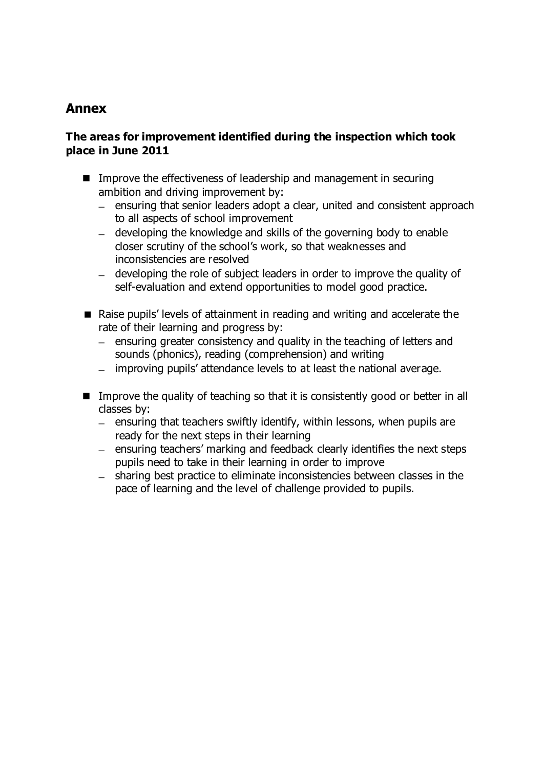# **Annex**

#### **The areas for improvement identified during the inspection which took place in June 2011**

- Improve the effectiveness of leadership and management in securing ambition and driving improvement by:
	- ensuring that senior leaders adopt a clear, united and consistent approach to all aspects of school improvement
	- developing the knowledge and skills of the governing body to enable closer scrutiny of the school's work, so that weaknesses and inconsistencies are resolved
	- developing the role of subject leaders in order to improve the quality of self-evaluation and extend opportunities to model good practice.
- Raise pupils' levels of attainment in reading and writing and accelerate the rate of their learning and progress by:
	- $\mu$  ensuring greater consistency and quality in the teaching of letters and sounds (phonics), reading (comprehension) and writing
	- improving pupils' attendance levels to at least the national average.
- Improve the quality of teaching so that it is consistently good or better in all classes by:
	- $-$  ensuring that teachers swiftly identify, within lessons, when pupils are ready for the next steps in their learning
	- $-$  ensuring teachers' marking and feedback clearly identifies the next steps pupils need to take in their learning in order to improve
	- sharing best practice to eliminate inconsistencies between classes in the pace of learning and the level of challenge provided to pupils.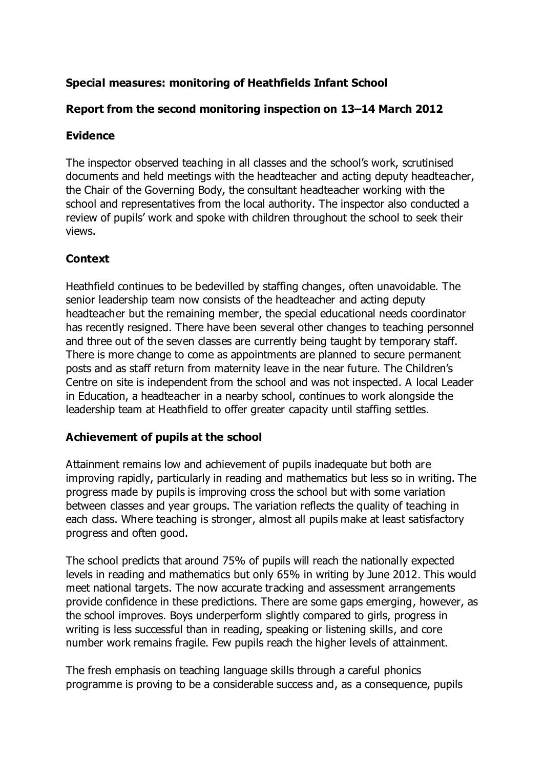# **Special measures: monitoring of Heathfields Infant School**

### **Report from the second monitoring inspection on 13–14 March 2012**

### **Evidence**

The inspector observed teaching in all classes and the school's work, scrutinised documents and held meetings with the headteacher and acting deputy headteacher, the Chair of the Governing Body, the consultant headteacher working with the school and representatives from the local authority. The inspector also conducted a review of pupils' work and spoke with children throughout the school to seek their views.

#### **Context**

Heathfield continues to be bedevilled by staffing changes, often unavoidable. The senior leadership team now consists of the headteacher and acting deputy headteacher but the remaining member, the special educational needs coordinator has recently resigned. There have been several other changes to teaching personnel and three out of the seven classes are currently being taught by temporary staff. There is more change to come as appointments are planned to secure permanent posts and as staff return from maternity leave in the near future. The Children's Centre on site is independent from the school and was not inspected. A local Leader in Education, a headteacher in a nearby school, continues to work alongside the leadership team at Heathfield to offer greater capacity until staffing settles.

#### **Achievement of pupils at the school**

Attainment remains low and achievement of pupils inadequate but both are improving rapidly, particularly in reading and mathematics but less so in writing. The progress made by pupils is improving cross the school but with some variation between classes and year groups. The variation reflects the quality of teaching in each class. Where teaching is stronger, almost all pupils make at least satisfactory progress and often good.

The school predicts that around 75% of pupils will reach the nationally expected levels in reading and mathematics but only 65% in writing by June 2012. This would meet national targets. The now accurate tracking and assessment arrangements provide confidence in these predictions. There are some gaps emerging, however, as the school improves. Boys underperform slightly compared to girls, progress in writing is less successful than in reading, speaking or listening skills, and core number work remains fragile. Few pupils reach the higher levels of attainment.

The fresh emphasis on teaching language skills through a careful phonics programme is proving to be a considerable success and, as a consequence, pupils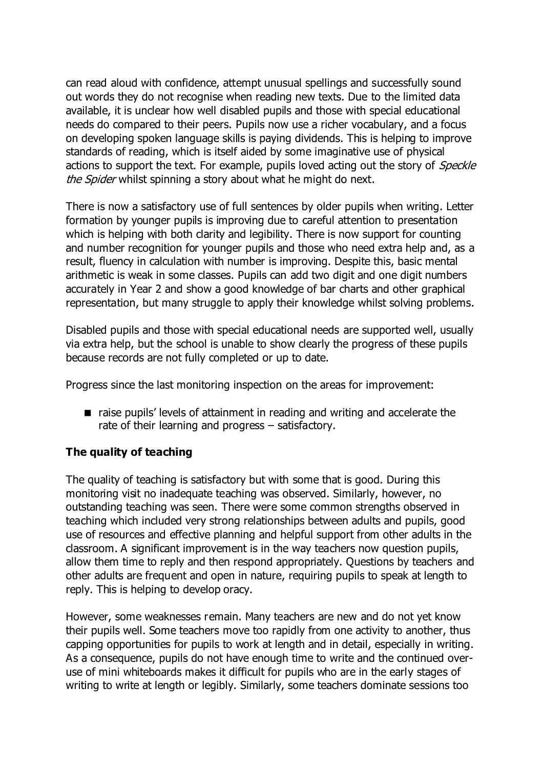can read aloud with confidence, attempt unusual spellings and successfully sound out words they do not recognise when reading new texts. Due to the limited data available, it is unclear how well disabled pupils and those with special educational needs do compared to their peers. Pupils now use a richer vocabulary, and a focus on developing spoken language skills is paying dividends. This is helping to improve standards of reading, which is itself aided by some imaginative use of physical actions to support the text. For example, pupils loved acting out the story of *Speckle* the Spider whilst spinning a story about what he might do next.

There is now a satisfactory use of full sentences by older pupils when writing. Letter formation by younger pupils is improving due to careful attention to presentation which is helping with both clarity and legibility. There is now support for counting and number recognition for younger pupils and those who need extra help and, as a result, fluency in calculation with number is improving. Despite this, basic mental arithmetic is weak in some classes. Pupils can add two digit and one digit numbers accurately in Year 2 and show a good knowledge of bar charts and other graphical representation, but many struggle to apply their knowledge whilst solving problems.

Disabled pupils and those with special educational needs are supported well, usually via extra help, but the school is unable to show clearly the progress of these pupils because records are not fully completed or up to date.

Progress since the last monitoring inspection on the areas for improvement:

■ raise pupils' levels of attainment in reading and writing and accelerate the rate of their learning and progress – satisfactory.

### **The quality of teaching**

The quality of teaching is satisfactory but with some that is good. During this monitoring visit no inadequate teaching was observed. Similarly, however, no outstanding teaching was seen. There were some common strengths observed in teaching which included very strong relationships between adults and pupils, good use of resources and effective planning and helpful support from other adults in the classroom. A significant improvement is in the way teachers now question pupils, allow them time to reply and then respond appropriately. Questions by teachers and other adults are frequent and open in nature, requiring pupils to speak at length to reply. This is helping to develop oracy.

However, some weaknesses remain. Many teachers are new and do not yet know their pupils well. Some teachers move too rapidly from one activity to another, thus capping opportunities for pupils to work at length and in detail, especially in writing. As a consequence, pupils do not have enough time to write and the continued overuse of mini whiteboards makes it difficult for pupils who are in the early stages of writing to write at length or legibly. Similarly, some teachers dominate sessions too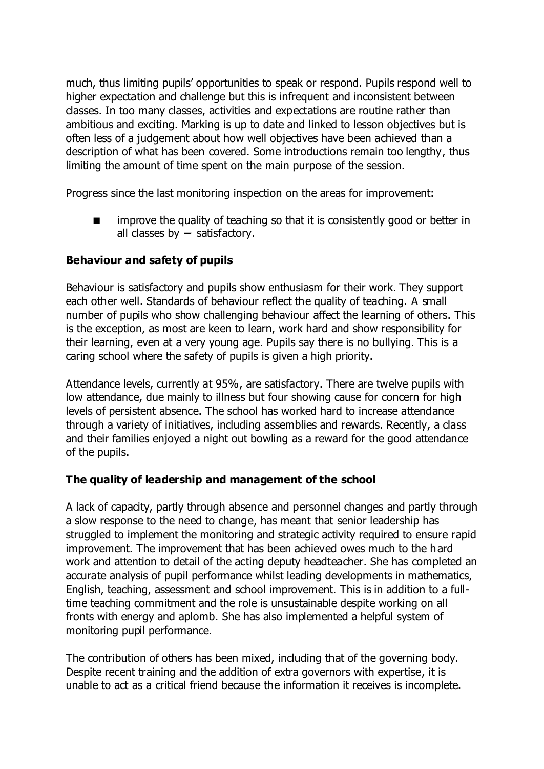much, thus limiting pupils' opportunities to speak or respond. Pupils respond well to higher expectation and challenge but this is infrequent and inconsistent between classes. In too many classes, activities and expectations are routine rather than ambitious and exciting. Marking is up to date and linked to lesson objectives but is often less of a judgement about how well objectives have been achieved than a description of what has been covered. Some introductions remain too lengthy, thus limiting the amount of time spent on the main purpose of the session.

Progress since the last monitoring inspection on the areas for improvement:

 improve the quality of teaching so that it is consistently good or better in all classes by **–** satisfactory.

### **Behaviour and safety of pupils**

Behaviour is satisfactory and pupils show enthusiasm for their work. They support each other well. Standards of behaviour reflect the quality of teaching. A small number of pupils who show challenging behaviour affect the learning of others. This is the exception, as most are keen to learn, work hard and show responsibility for their learning, even at a very young age. Pupils say there is no bullying. This is a caring school where the safety of pupils is given a high priority.

Attendance levels, currently at 95%, are satisfactory. There are twelve pupils with low attendance, due mainly to illness but four showing cause for concern for high levels of persistent absence. The school has worked hard to increase attendance through a variety of initiatives, including assemblies and rewards. Recently, a class and their families enjoyed a night out bowling as a reward for the good attendance of the pupils.

### **The quality of leadership and management of the school**

A lack of capacity, partly through absence and personnel changes and partly through a slow response to the need to change, has meant that senior leadership has struggled to implement the monitoring and strategic activity required to ensure rapid improvement. The improvement that has been achieved owes much to the hard work and attention to detail of the acting deputy headteacher. She has completed an accurate analysis of pupil performance whilst leading developments in mathematics, English, teaching, assessment and school improvement. This is in addition to a fulltime teaching commitment and the role is unsustainable despite working on all fronts with energy and aplomb. She has also implemented a helpful system of monitoring pupil performance.

The contribution of others has been mixed, including that of the governing body. Despite recent training and the addition of extra governors with expertise, it is unable to act as a critical friend because the information it receives is incomplete.